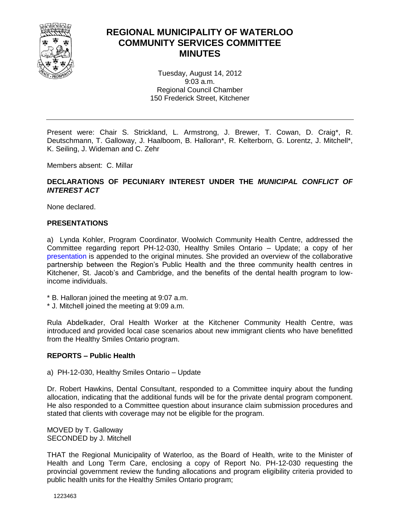

#### **REGIONAL MUNICIPALITY OF WATERLOO COMMUNITY SERVICES COMMITTEE MINUTES**

Tuesday, August 14, 2012 9:03 a.m. Regional Council Chamber 150 Frederick Street, Kitchener

Present were: Chair S. Strickland, L. Armstrong, J. Brewer, T. Cowan, D. Craig\*, R. Deutschmann, T. Galloway, J. Haalboom, B. Halloran\*, R. Kelterborn, G. Lorentz, J. Mitchell\*, K. Seiling, J. Wideman and C. Zehr

Members absent: C. Millar

#### **DECLARATIONS OF PECUNIARY INTEREST UNDER THE** *MUNICIPAL CONFLICT OF INTEREST ACT*

None declared.

#### **PRESENTATIONS**

a) Lynda Kohler, Program Coordinator, Woolwich Community Health Centre, addressed the Committee regarding report PH-12-030, Healthy Smiles Ontario – Update; a copy of her [presentation](#page-6-0) is appended to the original minutes. She provided an overview of the collaborative partnership between the Region's Public Health and the three community health centres in Kitchener, St. Jacob's and Cambridge, and the benefits of the dental health program to lowincome individuals.

- \* B. Halloran joined the meeting at 9:07 a.m.
- \* J. Mitchell joined the meeting at 9:09 a.m.

Rula Abdelkader, Oral Health Worker at the Kitchener Community Health Centre, was introduced and provided local case scenarios about new immigrant clients who have benefitted from the Healthy Smiles Ontario program.

#### **REPORTS – Public Health**

a) PH-12-030, Healthy Smiles Ontario – Update

Dr. Robert Hawkins, Dental Consultant, responded to a Committee inquiry about the funding allocation, indicating that the additional funds will be for the private dental program component. He also responded to a Committee question about insurance claim submission procedures and stated that clients with coverage may not be eligible for the program.

MOVED by T. Galloway SECONDED by J. Mitchell

THAT the Regional Municipality of Waterloo, as the Board of Health, write to the Minister of Health and Long Term Care, enclosing a copy of Report No. PH-12-030 requesting the provincial government review the funding allocations and program eligibility criteria provided to public health units for the Healthy Smiles Ontario program;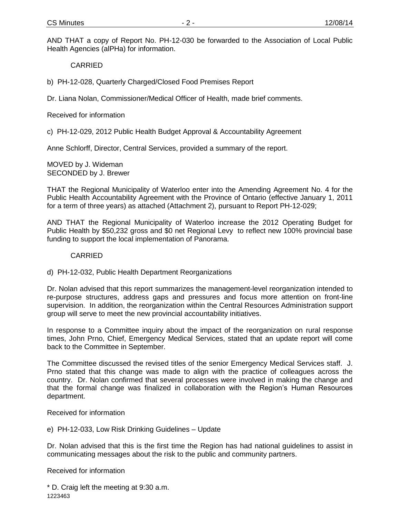AND THAT a copy of Report No. PH-12-030 be forwarded to the Association of Local Public Health Agencies (alPHa) for information.

#### CARRIED

b) PH-12-028, Quarterly Charged/Closed Food Premises Report

Dr. Liana Nolan, Commissioner/Medical Officer of Health, made brief comments.

Received for information

c) PH-12-029, 2012 Public Health Budget Approval & Accountability Agreement

Anne Schlorff, Director, Central Services, provided a summary of the report.

MOVED by J. Wideman SECONDED by J. Brewer

THAT the Regional Municipality of Waterloo enter into the Amending Agreement No. 4 for the Public Health Accountability Agreement with the Province of Ontario (effective January 1, 2011 for a term of three years) as attached (Attachment 2), pursuant to Report PH-12-029;

AND THAT the Regional Municipality of Waterloo increase the 2012 Operating Budget for Public Health by \$50,232 gross and \$0 net Regional Levy to reflect new 100% provincial base funding to support the local implementation of Panorama.

#### CARRIED

d) PH-12-032, Public Health Department Reorganizations

Dr. Nolan advised that this report summarizes the management-level reorganization intended to re-purpose structures, address gaps and pressures and focus more attention on front-line supervision. In addition, the reorganization within the Central Resources Administration support group will serve to meet the new provincial accountability initiatives.

In response to a Committee inquiry about the impact of the reorganization on rural response times, John Prno, Chief, Emergency Medical Services, stated that an update report will come back to the Committee in September.

The Committee discussed the revised titles of the senior Emergency Medical Services staff. J. Prno stated that this change was made to align with the practice of colleagues across the country. Dr. Nolan confirmed that several processes were involved in making the change and that the formal change was finalized in collaboration with the Region's Human Resources department.

Received for information

e) PH-12-033, Low Risk Drinking Guidelines – Update

Dr. Nolan advised that this is the first time the Region has had national guidelines to assist in communicating messages about the risk to the public and community partners.

Received for information

1223463 \* D. Craig left the meeting at 9:30 a.m.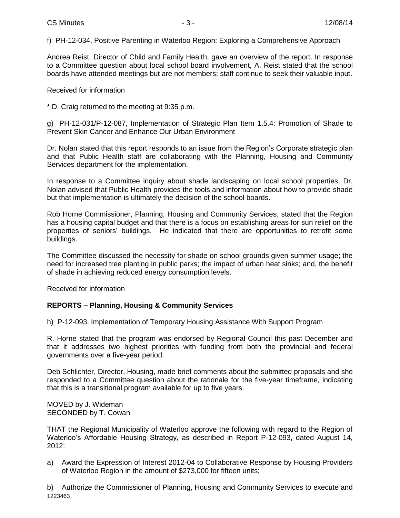f) PH-12-034, Positive Parenting in Waterloo Region: Exploring a Comprehensive Approach

Andrea Reist, Director of Child and Family Health, gave an overview of the report. In response to a Committee question about local school board involvement, A. Reist stated that the school boards have attended meetings but are not members; staff continue to seek their valuable input.

Received for information

\* D. Craig returned to the meeting at 9:35 p.m.

g) PH-12-031/P-12-087, Implementation of Strategic Plan Item 1.5.4: Promotion of Shade to Prevent Skin Cancer and Enhance Our Urban Environment

Dr. Nolan stated that this report responds to an issue from the Region's Corporate strategic plan and that Public Health staff are collaborating with the Planning, Housing and Community Services department for the implementation.

In response to a Committee inquiry about shade landscaping on local school properties, Dr. Nolan advised that Public Health provides the tools and information about how to provide shade but that implementation is ultimately the decision of the school boards.

Rob Horne Commissioner, Planning, Housing and Community Services, stated that the Region has a housing capital budget and that there is a focus on establishing areas for sun relief on the properties of seniors' buildings. He indicated that there are opportunities to retrofit some buildings.

The Committee discussed the necessity for shade on school grounds given summer usage; the need for increased tree planting in public parks; the impact of urban heat sinks; and, the benefit of shade in achieving reduced energy consumption levels.

Received for information

#### **REPORTS – Planning, Housing & Community Services**

h) P-12-093, Implementation of Temporary Housing Assistance With Support Program

R. Horne stated that the program was endorsed by Regional Council this past December and that it addresses two highest priorities with funding from both the provincial and federal governments over a five-year period.

Deb Schlichter, Director, Housing, made brief comments about the submitted proposals and she responded to a Committee question about the rationale for the five-year timeframe, indicating that this is a transitional program available for up to five years.

MOVED by J. Wideman SECONDED by T. Cowan

THAT the Regional Municipality of Waterloo approve the following with regard to the Region of Waterloo's Affordable Housing Strategy, as described in Report P-12-093, dated August 14, 2012:

a) Award the Expression of Interest 2012-04 to Collaborative Response by Housing Providers of Waterloo Region in the amount of \$273,000 for fifteen units;

1223463 b) Authorize the Commissioner of Planning, Housing and Community Services to execute and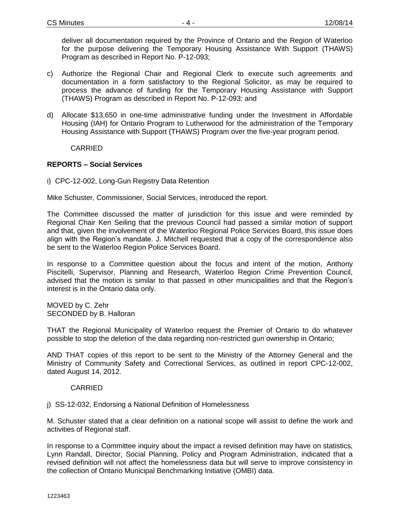deliver all documentation required by the Province of Ontario and the Region of Waterloo for the purpose delivering the Temporary Housing Assistance With Support (THAWS) Program as described in Report No. P-12-093;

- c) Authorize the Regional Chair and Regional Clerk to execute such agreements and documentation in a form satisfactory to the Regional Solicitor, as may be required to process the advance of funding for the Temporary Housing Assistance with Support (THAWS) Program as described in Report No. P-12-093; and
- d) Allocate \$13,650 in one-time administrative funding under the Investment in Affordable Housing (IAH) for Ontario Program to Lutherwood for the administration of the Temporary Housing Assistance with Support (THAWS) Program over the five-year program period.

CARRIED

#### **REPORTS – Social Services**

i) CPC-12-002, Long-Gun Registry Data Retention

Mike Schuster, Commissioner, Social Services, introduced the report.

The Committee discussed the matter of jurisdiction for this issue and were reminded by Regional Chair Ken Seiling that the previous Council had passed a similar motion of support and that, given the involvement of the Waterloo Regional Police Services Board, this issue does align with the Region's mandate. J. Mitchell requested that a copy of the correspondence also be sent to the Waterloo Region Police Services Board.

In response to a Committee question about the focus and intent of the motion, Anthony Piscitelli, Supervisor, Planning and Research, Waterloo Region Crime Prevention Council, advised that the motion is similar to that passed in other municipalities and that the Region's interest is in the Ontario data only.

MOVED by C. Zehr SECONDED by B. Halloran

THAT the Regional Municipality of Waterloo request the Premier of Ontario to do whatever possible to stop the deletion of the data regarding non-restricted gun ownership in Ontario;

AND THAT copies of this report to be sent to the Ministry of the Attorney General and the Ministry of Community Safety and Correctional Services, as outlined in report CPC-12-002, dated August 14, 2012.

#### CARRIED

j) SS-12-032, Endorsing a National Definition of Homelessness

M. Schuster stated that a clear definition on a national scope will assist to define the work and activities of Regional staff.

In response to a Committee inquiry about the impact a revised definition may have on statistics, Lynn Randall, Director, Social Planning, Policy and Program Administration, indicated that a revised definition will not affect the homelessness data but will serve to improve consistency in the collection of Ontario Municipal Benchmarking Initiative (OMBI) data.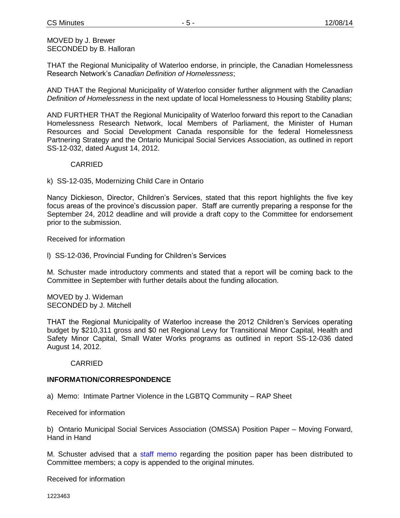MOVED by J. Brewer SECONDED by B. Halloran

THAT the Regional Municipality of Waterloo endorse, in principle, the Canadian Homelessness Research Network's *Canadian Definition of Homelessness*;

AND THAT the Regional Municipality of Waterloo consider further alignment with the *Canadian Definition of Homelessness* in the next update of local Homelessness to Housing Stability plans;

AND FURTHER THAT the Regional Municipality of Waterloo forward this report to the Canadian Homelessness Research Network, local Members of Parliament, the Minister of Human Resources and Social Development Canada responsible for the federal Homelessness Partnering Strategy and the Ontario Municipal Social Services Association, as outlined in report SS-12-032, dated August 14, 2012.

#### CARRIED

k) SS-12-035, Modernizing Child Care in Ontario

Nancy Dickieson, Director, Children's Services, stated that this report highlights the five key focus areas of the province's discussion paper. Staff are currently preparing a response for the September 24, 2012 deadline and will provide a draft copy to the Committee for endorsement prior to the submission.

Received for information

l) SS-12-036, Provincial Funding for Children's Services

M. Schuster made introductory comments and stated that a report will be coming back to the Committee in September with further details about the funding allocation.

MOVED by J. Wideman SECONDED by J. Mitchell

THAT the Regional Municipality of Waterloo increase the 2012 Children's Services operating budget by \$210,311 gross and \$0 net Regional Levy for Transitional Minor Capital, Health and Safety Minor Capital, Small Water Works programs as outlined in report SS-12-036 dated August 14, 2012.

#### CARRIED

#### **INFORMATION/CORRESPONDENCE**

a) Memo: Intimate Partner Violence in the LGBTQ Community – RAP Sheet

Received for information

b) Ontario Municipal Social Services Association (OMSSA) Position Paper – Moving Forward, Hand in Hand

M. Schuster advised that a [staff memo](#page-12-0) regarding the position paper has been distributed to Committee members; a copy is appended to the original minutes.

Received for information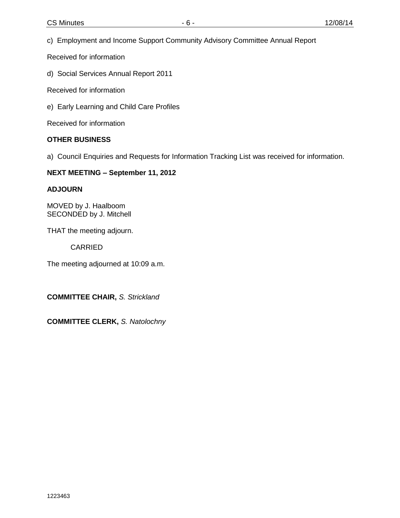c) Employment and Income Support Community Advisory Committee Annual Report

Received for information

d) Social Services Annual Report 2011

Received for information

e) Early Learning and Child Care Profiles

Received for information

#### **OTHER BUSINESS**

a) Council Enquiries and Requests for Information Tracking List was received for information.

#### **NEXT MEETING – September 11, 2012**

#### **ADJOURN**

MOVED by J. Haalboom SECONDED by J. Mitchell

THAT the meeting adjourn.

CARRIED

The meeting adjourned at 10:09 a.m.

**COMMITTEE CHAIR,** *S. Strickland*

**COMMITTEE CLERK,** *S. Natolochny*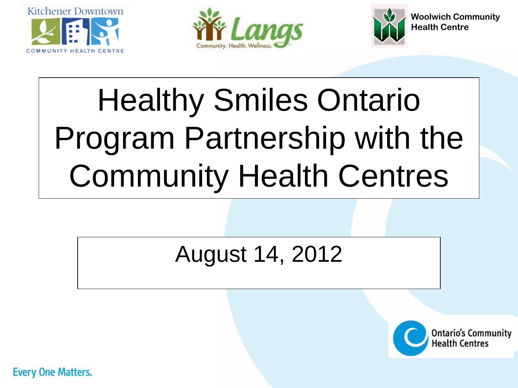<span id="page-6-0"></span>





## Healthy Smiles Ontario Program Partnership with the Community Health Centres

## August 14, 2012



**Every One Matters.**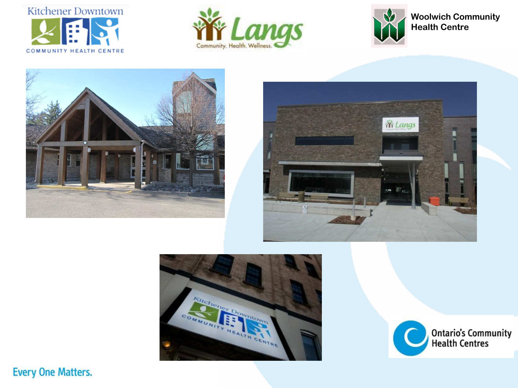













**Every One Matters.**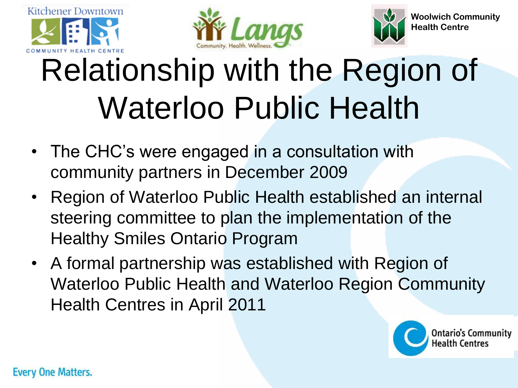





## Relationship with the Region of Waterloo Public Health

- The CHC's were engaged in a consultation with community partners in December 2009
- Region of Waterloo Public Health established an internal steering committee to plan the implementation of the Healthy Smiles Ontario Program
- A formal partnership was established with Region of Waterloo Public Health and Waterloo Region Community Health Centres in April 2011

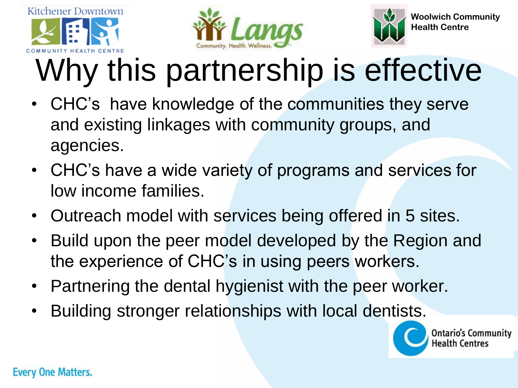





# Why this partnership is effective

- CHC's have knowledge of the communities they serve and existing linkages with community groups, and agencies.
- CHC's have a wide variety of programs and services for low income families.
- Outreach model with services being offered in 5 sites.
- Build upon the peer model developed by the Region and the experience of CHC's in using peers workers.
- Partnering the dental hygienist with the peer worker.
- Building stronger relationships with local dentists.



**Ontario's Community** lealth Centres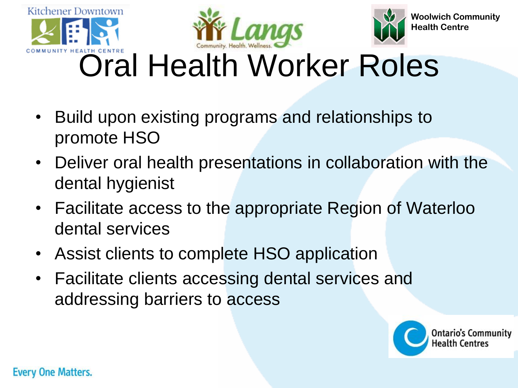



## Oral Health Worker Roles

- Build upon existing programs and relationships to promote HSO
- Deliver oral health presentations in collaboration with the dental hygienist
- Facilitate access to the appropriate Region of Waterloo dental services
- Assist clients to complete HSO application
- Facilitate clients accessing dental services and addressing barriers to access

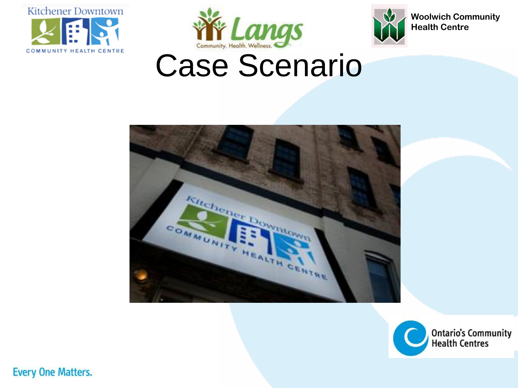





# Wir Langs<br>Case Scenario





**Every One Matters.**